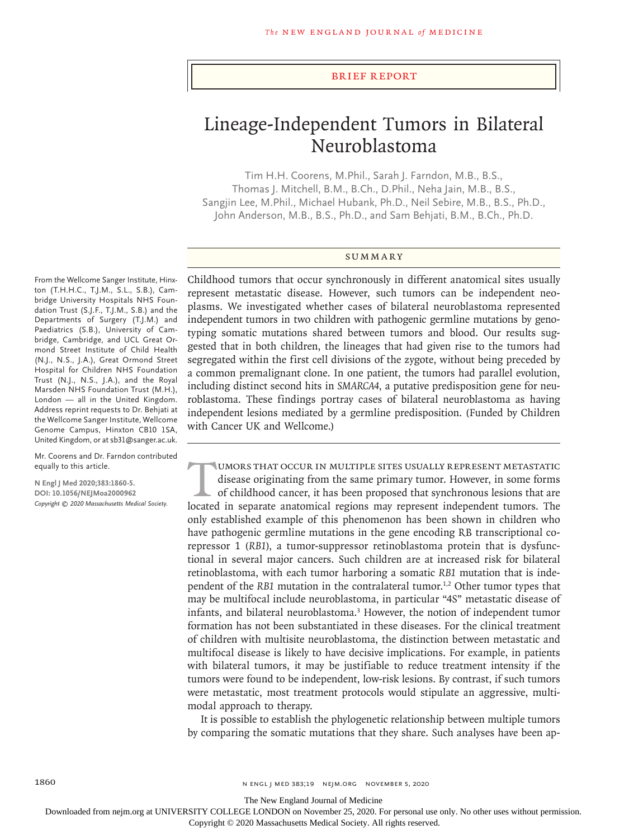## Brief Report

# Lineage-Independent Tumors in Bilateral Neuroblastoma

Tim H.H. Coorens, M.Phil., Sarah J. Farndon, M.B., B.S., Thomas J. Mitchell, B.M., B.Ch., D.Phil., Neha Jain, M.B., B.S., Sangjin Lee, M.Phil., Michael Hubank, Ph.D., Neil Sebire, M.B., B.S., Ph.D., John Anderson, M.B., B.S., Ph.D., and Sam Behjati, B.M., B.Ch., Ph.D.

## **SUMMARY**

From the Wellcome Sanger Institute, Hinxton (T.H.H.C., T.J.M., S.L., S.B.), Cambridge University Hospitals NHS Foundation Trust (S.J.F., T.J.M., S.B.) and the Departments of Surgery (T.J.M.) and Paediatrics (S.B.), University of Cambridge, Cambridge, and UCL Great Ormond Street Institute of Child Health (N.J., N.S., J.A.), Great Ormond Street Hospital for Children NHS Foundation Trust (N.J., N.S., J.A.), and the Royal Marsden NHS Foundation Trust (M.H.), London — all in the United Kingdom. Address reprint requests to Dr. Behjati at the Wellcome Sanger Institute, Wellcome Genome Campus, Hinxton CB10 1SA, United Kingdom, or at sb31@sanger.ac.uk.

Mr. Coorens and Dr. Farndon contributed equally to this article.

**N Engl J Med 2020;383:1860-5. DOI: 10.1056/NEJMoa2000962** *Copyright © 2020 Massachusetts Medical Society.* Childhood tumors that occur synchronously in different anatomical sites usually represent metastatic disease. However, such tumors can be independent neoplasms. We investigated whether cases of bilateral neuroblastoma represented independent tumors in two children with pathogenic germline mutations by genotyping somatic mutations shared between tumors and blood. Our results suggested that in both children, the lineages that had given rise to the tumors had segregated within the first cell divisions of the zygote, without being preceded by a common premalignant clone. In one patient, the tumors had parallel evolution, including distinct second hits in *SMARCA4*, a putative predisposition gene for neuroblastoma. These findings portray cases of bilateral neuroblastoma as having independent lesions mediated by a germline predisposition. (Funded by Children with Cancer UK and Wellcome.)

UMORS THAT OCCUR IN MULTIPLE SITES USUALLY REPRESENT METASTATIC<br>disease originating from the same primary tumor. However, in some forms<br>of childhood cancer, it has been proposed that synchronous lesions that are<br>located in disease originating from the same primary tumor. However, in some forms of childhood cancer, it has been proposed that synchronous lesions that are located in separate anatomical regions may represent independent tumors. The only established example of this phenomenon has been shown in children who have pathogenic germline mutations in the gene encoding RB transcriptional corepressor 1 (*RB1*), a tumor-suppressor retinoblastoma protein that is dysfunctional in several major cancers. Such children are at increased risk for bilateral retinoblastoma, with each tumor harboring a somatic *RB1* mutation that is independent of the *RB1* mutation in the contralateral tumor.1,2 Other tumor types that may be multifocal include neuroblastoma, in particular "4S" metastatic disease of infants, and bilateral neuroblastoma.3 However, the notion of independent tumor formation has not been substantiated in these diseases. For the clinical treatment of children with multisite neuroblastoma, the distinction between metastatic and multifocal disease is likely to have decisive implications. For example, in patients with bilateral tumors, it may be justifiable to reduce treatment intensity if the tumors were found to be independent, low-risk lesions. By contrast, if such tumors were metastatic, most treatment protocols would stipulate an aggressive, multimodal approach to therapy.

It is possible to establish the phylogenetic relationship between multiple tumors by comparing the somatic mutations that they share. Such analyses have been ap-

The New England Journal of Medicine

Downloaded from nejm.org at UNIVERSITY COLLEGE LONDON on November 25, 2020. For personal use only. No other uses without permission.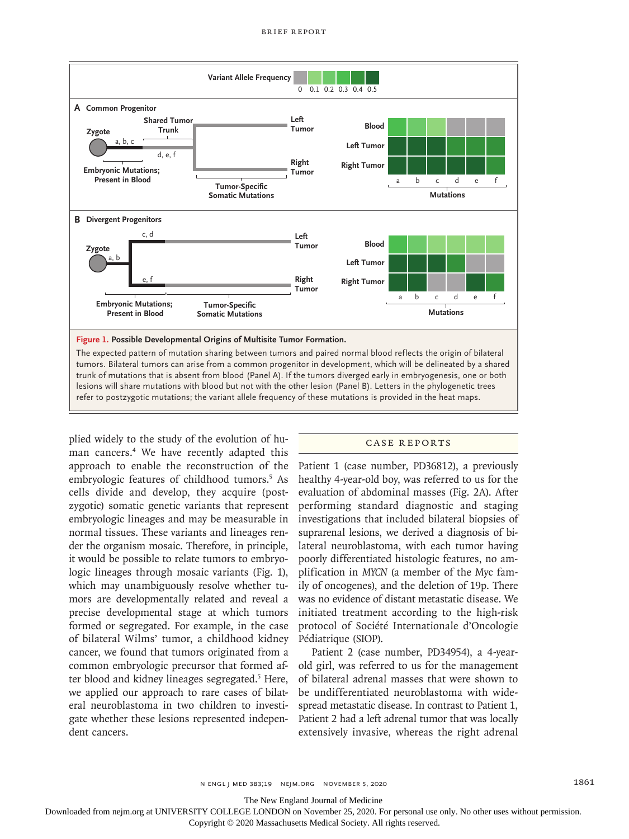

plied widely to the study of the evolution of human cancers.4 We have recently adapted this approach to enable the reconstruction of the embryologic features of childhood tumors.<sup>5</sup> As cells divide and develop, they acquire (postzygotic) somatic genetic variants that represent embryologic lineages and may be measurable in normal tissues. These variants and lineages render the organism mosaic. Therefore, in principle, it would be possible to relate tumors to embryologic lineages through mosaic variants (Fig. 1), which may unambiguously resolve whether tumors are developmentally related and reveal a precise developmental stage at which tumors formed or segregated. For example, in the case of bilateral Wilms' tumor, a childhood kidney cancer, we found that tumors originated from a common embryologic precursor that formed after blood and kidney lineages segregated.<sup>5</sup> Here, we applied our approach to rare cases of bilateral neuroblastoma in two children to investigate whether these lesions represented independent cancers.

## Case Reports

Patient 1 (case number, PD36812), a previously healthy 4-year-old boy, was referred to us for the evaluation of abdominal masses (Fig. 2A). After performing standard diagnostic and staging investigations that included bilateral biopsies of suprarenal lesions, we derived a diagnosis of bilateral neuroblastoma, with each tumor having poorly differentiated histologic features, no amplification in *MYCN* (a member of the Myc family of oncogenes), and the deletion of 19p. There was no evidence of distant metastatic disease. We initiated treatment according to the high-risk protocol of Société Internationale d'Oncologie Pédiatrique (SIOP).

Patient 2 (case number, PD34954), a 4-yearold girl, was referred to us for the management of bilateral adrenal masses that were shown to be undifferentiated neuroblastoma with widespread metastatic disease. In contrast to Patient 1, Patient 2 had a left adrenal tumor that was locally extensively invasive, whereas the right adrenal

The New England Journal of Medicine

Downloaded from nejm.org at UNIVERSITY COLLEGE LONDON on November 25, 2020. For personal use only. No other uses without permission.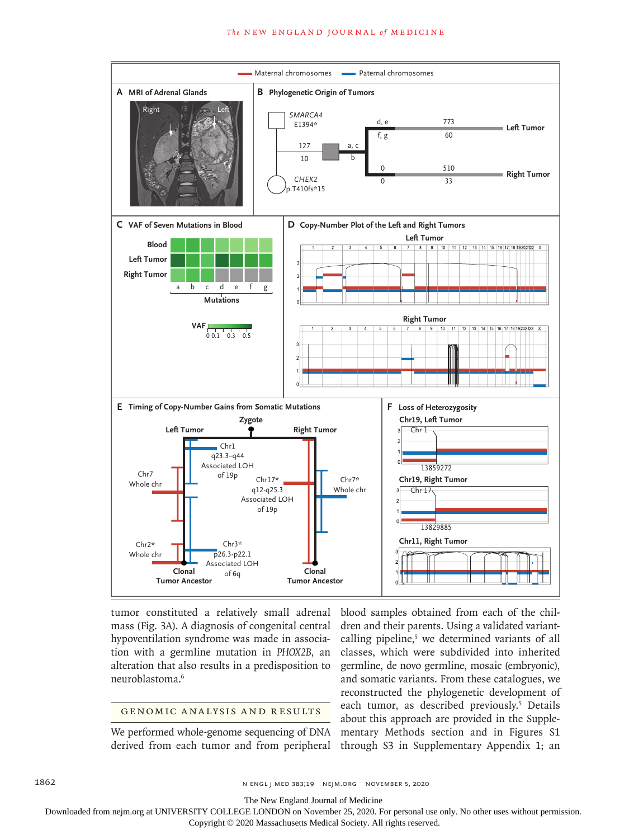### **The NEW ENGLAND JOURNAL of MEDICINE**



tumor constituted a relatively small adrenal mass (Fig. 3A). A diagnosis of congenital central hypoventilation syndrome was made in association with a germline mutation in *PHOX2B*, an alteration that also results in a predisposition to neuroblastoma.6

## GENOMIC ANALYSIS AND RESULTS

We performed whole-genome sequencing of DNA derived from each tumor and from peripheral

blood samples obtained from each of the children and their parents. Using a validated variantcalling pipeline,<sup>5</sup> we determined variants of all classes, which were subdivided into inherited germline, de novo germline, mosaic (embryonic), and somatic variants. From these catalogues, we reconstructed the phylogenetic development of each tumor, as described previously.<sup>5</sup> Details about this approach are provided in the Supplementary Methods section and in Figures S1 through S3 in Supplementary Appendix 1; an

1862 n engl j med 383;19 nejm.org November 5, 2020

The New England Journal of Medicine

Downloaded from nejm.org at UNIVERSITY COLLEGE LONDON on November 25, 2020. For personal use only. No other uses without permission.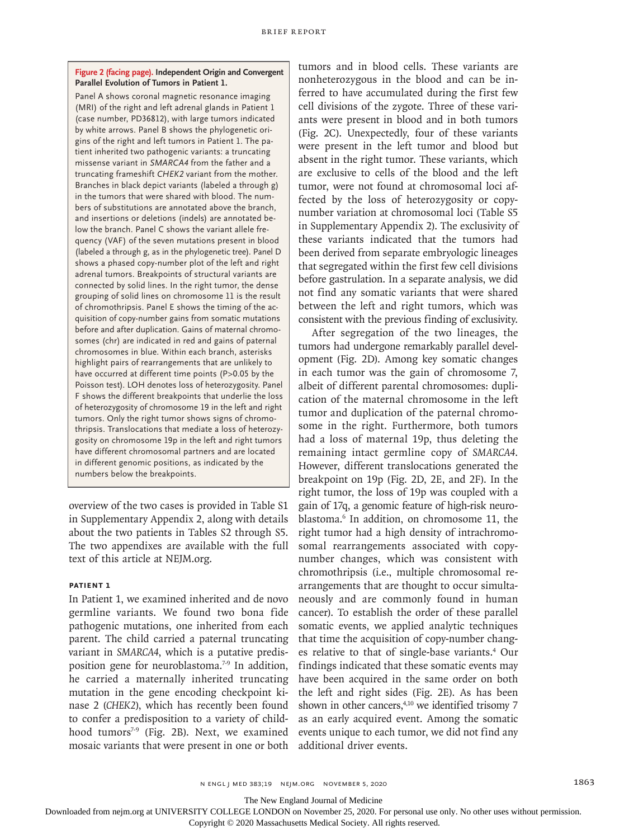**Figure 2 (facing page). Independent Origin and Convergent Parallel Evolution of Tumors in Patient 1.**

Panel A shows coronal magnetic resonance imaging (MRI) of the right and left adrenal glands in Patient 1 (case number, PD36812), with large tumors indicated by white arrows. Panel B shows the phylogenetic origins of the right and left tumors in Patient 1. The patient inherited two pathogenic variants: a truncating missense variant in *SMARCA4* from the father and a truncating frameshift *CHEK2* variant from the mother. Branches in black depict variants (labeled a through g) in the tumors that were shared with blood. The numbers of substitutions are annotated above the branch, and insertions or deletions (indels) are annotated below the branch. Panel C shows the variant allele frequency (VAF) of the seven mutations present in blood (labeled a through g, as in the phylogenetic tree). Panel D shows a phased copy-number plot of the left and right adrenal tumors. Breakpoints of structural variants are connected by solid lines. In the right tumor, the dense grouping of solid lines on chromosome 11 is the result of chromothripsis. Panel E shows the timing of the acquisition of copy-number gains from somatic mutations before and after duplication. Gains of maternal chromosomes (chr) are indicated in red and gains of paternal chromosomes in blue. Within each branch, asterisks highlight pairs of rearrangements that are unlikely to have occurred at different time points (P>0.05 by the Poisson test). LOH denotes loss of heterozygosity. Panel F shows the different breakpoints that underlie the loss of heterozygosity of chromosome 19 in the left and right tumors. Only the right tumor shows signs of chromothripsis. Translocations that mediate a loss of heterozygosity on chromosome 19p in the left and right tumors have different chromosomal partners and are located in different genomic positions, as indicated by the numbers below the breakpoints.

overview of the two cases is provided in Table S1 in Supplementary Appendix 2, along with details about the two patients in Tables S2 through S5. The two appendixes are available with the full text of this article at NEJM.org.

## **Patient 1**

In Patient 1, we examined inherited and de novo germline variants. We found two bona fide pathogenic mutations, one inherited from each parent. The child carried a paternal truncating variant in *SMARCA4*, which is a putative predisposition gene for neuroblastoma.<sup>7-9</sup> In addition, he carried a maternally inherited truncating mutation in the gene encoding checkpoint kinase 2 (*CHEK2*), which has recently been found to confer a predisposition to a variety of childhood tumors<sup>7-9</sup> (Fig. 2B). Next, we examined mosaic variants that were present in one or both tumors and in blood cells. These variants are nonheterozygous in the blood and can be inferred to have accumulated during the first few cell divisions of the zygote. Three of these variants were present in blood and in both tumors (Fig. 2C). Unexpectedly, four of these variants were present in the left tumor and blood but absent in the right tumor. These variants, which are exclusive to cells of the blood and the left tumor, were not found at chromosomal loci affected by the loss of heterozygosity or copynumber variation at chromosomal loci (Table S5 in Supplementary Appendix 2). The exclusivity of these variants indicated that the tumors had been derived from separate embryologic lineages that segregated within the first few cell divisions before gastrulation. In a separate analysis, we did not find any somatic variants that were shared between the left and right tumors, which was consistent with the previous finding of exclusivity.

After segregation of the two lineages, the tumors had undergone remarkably parallel development (Fig. 2D). Among key somatic changes in each tumor was the gain of chromosome 7, albeit of different parental chromosomes: duplication of the maternal chromosome in the left tumor and duplication of the paternal chromosome in the right. Furthermore, both tumors had a loss of maternal 19p, thus deleting the remaining intact germline copy of *SMARCA4*. However, different translocations generated the breakpoint on 19p (Fig. 2D, 2E, and 2F). In the right tumor, the loss of 19p was coupled with a gain of 17q, a genomic feature of high-risk neuroblastoma.6 In addition, on chromosome 11, the right tumor had a high density of intrachromosomal rearrangements associated with copynumber changes, which was consistent with chromothripsis (i.e., multiple chromosomal rearrangements that are thought to occur simultaneously and are commonly found in human cancer). To establish the order of these parallel somatic events, we applied analytic techniques that time the acquisition of copy-number changes relative to that of single-base variants.4 Our findings indicated that these somatic events may have been acquired in the same order on both the left and right sides (Fig. 2E). As has been shown in other cancers,<sup>4,10</sup> we identified trisomy 7 as an early acquired event. Among the somatic events unique to each tumor, we did not find any additional driver events.

The New England Journal of Medicine

Downloaded from nejm.org at UNIVERSITY COLLEGE LONDON on November 25, 2020. For personal use only. No other uses without permission.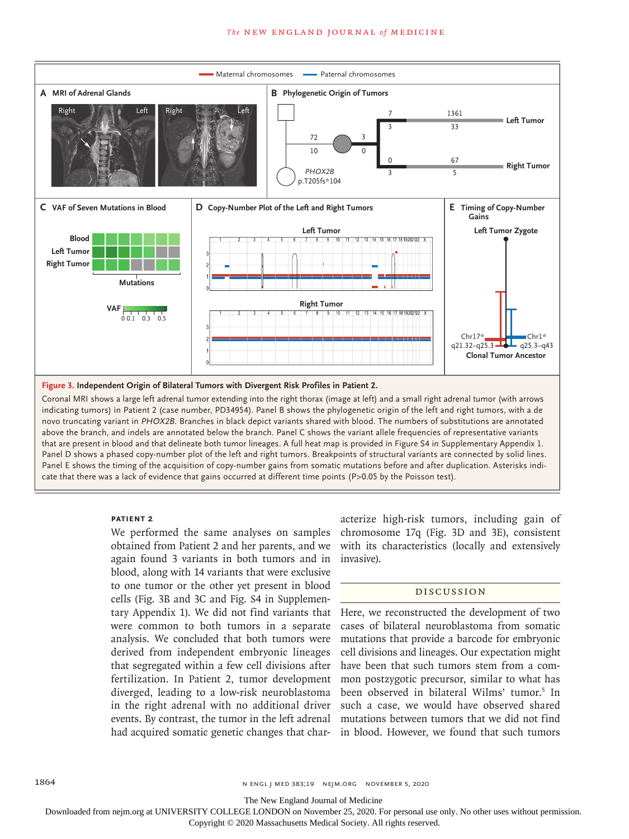

Coronal MRI shows a large left adrenal tumor extending into the right thorax (image at left) and a small right adrenal tumor (with arrows indicating tumors) in Patient 2 (case number, PD34954). Panel B shows the phylogenetic origin of the left and right tumors, with a de novo truncating variant in *PHOX2B*. Branches in black depict variants shared with blood. The numbers of substitutions are annotated above the branch, and indels are annotated below the branch. Panel C shows the variant allele frequencies of representative variants that are present in blood and that delineate both tumor lineages. A full heat map is provided in Figure S4 in Supplementary Appendix 1. Panel D shows a phased copy-number plot of the left and right tumors. Breakpoints of structural variants are connected by solid lines. Panel E shows the timing of the acquisition of copy-number gains from somatic mutations before and after duplication. Asterisks indicate that there was a lack of evidence that gains occurred at different time points (P>0.05 by the Poisson test).

## **PATIENT 2**

We performed the same analyses on samples obtained from Patient 2 and her parents, and we again found 3 variants in both tumors and in blood, along with 14 variants that were exclusive to one tumor or the other yet present in blood cells (Fig. 3B and 3C and Fig. S4 in Supplementary Appendix 1). We did not find variants that were common to both tumors in a separate analysis. We concluded that both tumors were derived from independent embryonic lineages that segregated within a few cell divisions after fertilization. In Patient 2, tumor development diverged, leading to a low-risk neuroblastoma in the right adrenal with no additional driver events. By contrast, the tumor in the left adrenal had acquired somatic genetic changes that char-

acterize high-risk tumors, including gain of chromosome 17q (Fig. 3D and 3E), consistent with its characteristics (locally and extensively invasive).

## Discussion

Here, we reconstructed the development of two cases of bilateral neuroblastoma from somatic mutations that provide a barcode for embryonic cell divisions and lineages. Our expectation might have been that such tumors stem from a common postzygotic precursor, similar to what has been observed in bilateral Wilms' tumor.<sup>5</sup> In such a case, we would have observed shared mutations between tumors that we did not find in blood. However, we found that such tumors

The New England Journal of Medicine

Downloaded from nejm.org at UNIVERSITY COLLEGE LONDON on November 25, 2020. For personal use only. No other uses without permission.